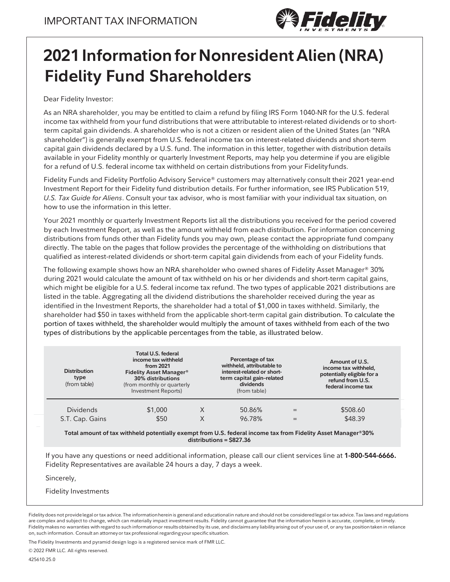

# **2021 Information for Nonresident Alien (NRA) Fidelity Fund Shareholders**

Dear Fidelity Investor:

As an NRA shareholder, you may be entitled to claim a refund by filing IRS Form 1040-NR for the U.S. federal income tax withheld from your fund distributions that were attributable to interest-related dividends or to shortterm capital gain dividends. A shareholder who is not a citizen or resident alien of the United States (an "NRA shareholder") is generally exempt from U.S. federal income tax on interest-related dividends and short-term capital gain dividends declared by a U.S. fund. The information in this letter, together with distribution details available in your Fidelity monthly or quarterly Investment Reports, may help you determine if you are eligible for a refund of U.S. federal income tax withheld on certain distributions from your Fidelityfunds.

Fidelity Funds and Fidelity Portfolio Advisory Service® customers may alternatively consult their 2021 year-end Investment Report for their Fidelity fund distribution details. For further information, see IRS Publication 519, *U.S. Tax Guide for Aliens*. Consult your tax advisor, who is most familiar with your individual tax situation, on how to use the information in this letter.

Your 2021 monthly or quarterly Investment Reports list all the distributions you received for the period covered by each Investment Report, as well as the amount withheld from each distribution. For information concerning distributions from funds other than Fidelity funds you may own, please contact the appropriate fund company directly. The table on the pages that follow provides the percentage of the withholding on distributions that qualified as interest-related dividends or short-term capital gain dividends from each of your Fidelity funds.

The following example shows how an NRA shareholder who owned shares of Fidelity Asset Manager® 30% during 2021 would calculate the amount of tax withheld on his or her dividends and short-term capital gains, which might be eligible for a U.S. federal income tax refund. The two types of applicable 2021 distributions are listed in the table. Aggregating all the dividend distributions the shareholder received during the year as identified in the Investment Reports, the shareholder had a total of \$1,000 in taxes withheld. Similarly, the shareholder had \$50 in taxes withheld from the applicable short-term capital gain distribution. To calculate the portion of taxes withheld, the shareholder would multiply the amount of taxes withheld from each of the two types of distributions by the applicable percentages from the table, as illustrated below.

| <b>Distribution</b><br>type<br>(from table) | Total U.S. federal<br>income tax withheld<br>from 2021<br><b>Fidelity Asset Manager®</b><br>30% distributions<br>(from monthly or quarterly<br>Investment Reports) |   | Percentage of tax<br>withheld, attributable to<br>interest-related or short-<br>term capital gain-related<br>dividends<br>(from table) |     | Amount of U.S.<br>income tax withheld,<br>potentially eligible for a<br>refund from U.S.<br>federal income tax |
|---------------------------------------------|--------------------------------------------------------------------------------------------------------------------------------------------------------------------|---|----------------------------------------------------------------------------------------------------------------------------------------|-----|----------------------------------------------------------------------------------------------------------------|
| <b>Dividends</b>                            | \$1,000                                                                                                                                                            |   | 50.86%                                                                                                                                 | $=$ | \$508.60                                                                                                       |
| S.T. Cap. Gains                             | \$50                                                                                                                                                               | Χ | 96.78%                                                                                                                                 |     | \$48.39                                                                                                        |

**Total amount of tax withheld potentially exempt from U.S. federal income tax from Fidelity Asset Manager®30% distributions = \$827.36**

If you have any questions or need additional information, please call our client services line at **1-800-544-6666.** Fidelity Representatives are available 24 hours a day, 7 days a week.

Sincerely,

Fidelity Investments

The Fidelity Investments and pyramid design logo is a registered service mark of FMR LLC.

© 2022 FMR LLC. All rights reserved.

Fidelity does not provide legal or tax advice. The information herein is general and educational in nature and should not be considered legal or tax advice. Tax laws and regulations are complex and subject to change, which can materially impact investment results. Fidelity cannot guarantee that the information herein is accurate, complete, or timely. Fidelity makesno warranties with regard to such informationor resultsobtained by its use, and disclaims any liability arising out of your use of, or any tax position taken in reliance on, such information. Consult an attorneyor tax professional regarding your specific situation.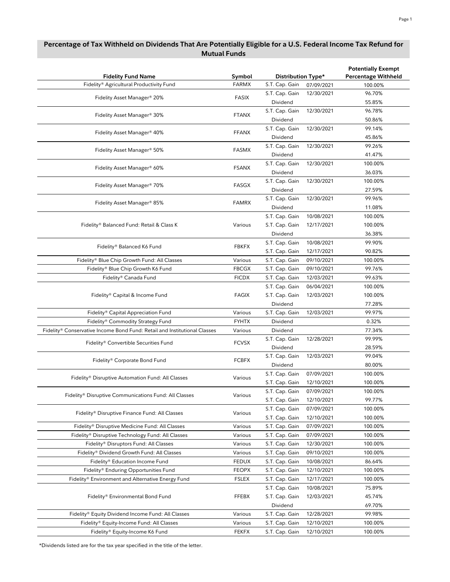| Fidelity Fund Name                                                            | Symbol       | Distribution Type* |            | <b>Potentially Exempt</b><br><b>Percentage Withheld</b> |
|-------------------------------------------------------------------------------|--------------|--------------------|------------|---------------------------------------------------------|
| Fidelity® Agricultural Productivity Fund                                      | <b>FARMX</b> | S.T. Cap. Gain     | 07/09/2021 | 100.00%                                                 |
|                                                                               |              | S.T. Cap. Gain     | 12/30/2021 | 96.70%                                                  |
| Fidelity Asset Manager® 20%                                                   | FASIX        | Dividend           |            | 55.85%                                                  |
|                                                                               |              | S.T. Cap. Gain     | 12/30/2021 | 96.78%                                                  |
| Fidelity Asset Manager® 30%                                                   | <b>FTANX</b> | Dividend           |            | 50.86%                                                  |
|                                                                               |              | S.T. Cap. Gain     | 12/30/2021 | 99.14%                                                  |
| Fidelity Asset Manager® 40%                                                   | <b>FFANX</b> | Dividend           |            | 45.86%                                                  |
|                                                                               |              | S.T. Cap. Gain     | 12/30/2021 | 99.26%                                                  |
| Fidelity Asset Manager® 50%                                                   | <b>FASMX</b> | Dividend           |            | 41.47%                                                  |
|                                                                               |              | S.T. Cap. Gain     | 12/30/2021 | 100.00%                                                 |
| Fidelity Asset Manager® 60%                                                   | <b>FSANX</b> | Dividend           |            | 36.03%                                                  |
|                                                                               |              | S.T. Cap. Gain     | 12/30/2021 | 100.00%                                                 |
| Fidelity Asset Manager® 70%                                                   | FASGX        | Dividend           |            | 27.59%                                                  |
|                                                                               |              | S.T. Cap. Gain     | 12/30/2021 | 99.96%                                                  |
| Fidelity Asset Manager® 85%                                                   | <b>FAMRX</b> | Dividend           |            | 11.08%                                                  |
|                                                                               |              |                    | 10/08/2021 | 100.00%                                                 |
|                                                                               |              | S.T. Cap. Gain     |            |                                                         |
| Fidelity® Balanced Fund: Retail & Class K                                     | Various      | S.T. Cap. Gain     | 12/17/2021 | 100.00%                                                 |
|                                                                               |              | Dividend           |            | 36.38%                                                  |
| Fidelity® Balanced K6 Fund                                                    | <b>FBKFX</b> | S.T. Cap. Gain     | 10/08/2021 | 99.90%                                                  |
|                                                                               |              | S.T. Cap. Gain     | 12/17/2021 | 90.82%                                                  |
| Fidelity® Blue Chip Growth Fund: All Classes                                  | Various      | S.T. Cap. Gain     | 09/10/2021 | 100.00%                                                 |
| Fidelity® Blue Chip Growth K6 Fund                                            | <b>FBCGX</b> | S.T. Cap. Gain     | 09/10/2021 | 99.76%                                                  |
| Fidelity® Canada Fund                                                         | <b>FICDX</b> | S.T. Cap. Gain     | 12/03/2021 | 99.63%                                                  |
|                                                                               | <b>FAGIX</b> | S.T. Cap. Gain     | 06/04/2021 | 100.00%                                                 |
| Fidelity® Capital & Income Fund                                               |              | S.T. Cap. Gain     | 12/03/2021 | 100.00%                                                 |
|                                                                               |              | Dividend           |            | 77.28%                                                  |
| Fidelity® Capital Appreciation Fund                                           | Various      | S.T. Cap. Gain     | 12/03/2021 | 99.97%                                                  |
| Fidelity® Commodity Strategy Fund                                             | <b>FYHTX</b> | Dividend           |            | 0.32%                                                   |
| Fidelity® Conservative Income Bond Fund: Retail and Institutional Classes     | Various      | Dividend           |            | 77.34%                                                  |
| Fidelity® Convertible Securities Fund                                         | <b>FCVSX</b> | S.T. Cap. Gain     | 12/28/2021 | 99.99%                                                  |
|                                                                               |              | Dividend           |            | 28.59%                                                  |
| Fidelity® Corporate Bond Fund                                                 | <b>FCBFX</b> | S.T. Cap. Gain     | 12/03/2021 | 99.04%                                                  |
|                                                                               |              | Dividend           |            | 80.00%                                                  |
| Fidelity® Disruptive Automation Fund: All Classes                             | Various      | S.T. Cap. Gain     | 07/09/2021 | 100.00%                                                 |
|                                                                               |              | S.T. Cap. Gain     | 12/10/2021 | 100.00%                                                 |
| $\mathsf{Fidelity}^{\circledast}$ Disruptive Communications Fund: All Classes | Various      | S.T. Cap. Gain     | 07/09/2021 | 100.00%                                                 |
|                                                                               |              | S.T. Cap. Gain     | 12/10/2021 | 99.77%                                                  |
| Fidelity® Disruptive Finance Fund: All Classes                                | Various      | S.T. Cap. Gain     | 07/09/2021 | 100.00%                                                 |
|                                                                               |              | S.T. Cap. Gain     | 12/10/2021 | 100.00%                                                 |
| Fidelity® Disruptive Medicine Fund: All Classes                               | Various      | S.T. Cap. Gain     | 07/09/2021 | 100.00%                                                 |
| Fidelity® Disruptive Technology Fund: All Classes                             | Various      | S.T. Cap. Gain     | 07/09/2021 | 100.00%                                                 |
| Fidelity® Disruptors Fund: All Classes                                        | Various      | S.T. Cap. Gain     | 12/30/2021 | 100.00%                                                 |
| Fidelity® Dividend Growth Fund: All Classes                                   | Various      | S.T. Cap. Gain     | 09/10/2021 | 100.00%                                                 |
| Fidelity® Education Income Fund                                               | <b>FEDUX</b> | S.T. Cap. Gain     | 10/08/2021 | 86.64%                                                  |
| Fidelity® Enduring Opportunities Fund                                         | <b>FEOPX</b> | S.T. Cap. Gain     | 12/10/2021 | 100.00%                                                 |
| Fidelity® Environment and Alternative Energy Fund                             | FSLEX        | S.T. Cap. Gain     | 12/17/2021 | 100.00%                                                 |
|                                                                               |              | S.T. Cap. Gain     | 10/08/2021 | 75.89%                                                  |
| Fidelity® Environmental Bond Fund                                             | FFEBX        | S.T. Cap. Gain     | 12/03/2021 | 45.74%                                                  |
|                                                                               |              | Dividend           |            | 69.70%                                                  |
| Fidelity® Equity Dividend Income Fund: All Classes                            | Various      | S.T. Cap. Gain     | 12/28/2021 | 99.98%                                                  |
| Fidelity® Equity-Income Fund: All Classes                                     | Various      | S.T. Cap. Gain     | 12/10/2021 | 100.00%                                                 |
| Fidelity® Equity-Income K6 Fund                                               | <b>FEKFX</b> | S.T. Cap. Gain     | 12/10/2021 | 100.00%                                                 |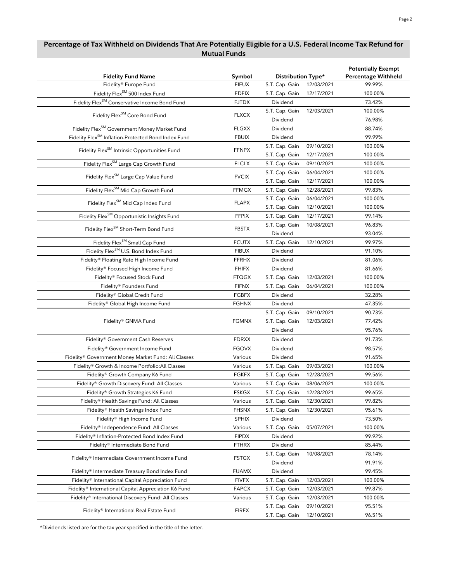| <b>Fidelity Fund Name</b>                                       | Symbol       | Distribution Type* |            | <b>Potentially Exempt</b><br><b>Percentage Withheld</b> |  |
|-----------------------------------------------------------------|--------------|--------------------|------------|---------------------------------------------------------|--|
| Fidelity® Europe Fund                                           | <b>FIEUX</b> | S.T. Cap. Gain     | 12/03/2021 | 99.99%                                                  |  |
| Fidelity Flex <sup>SM</sup> 500 Index Fund                      | <b>FDFIX</b> | S.T. Cap. Gain     | 12/17/2021 | 100.00%                                                 |  |
| Fidelity Flex <sup>SM</sup> Conservative Income Bond Fund       | <b>FJTDX</b> | Dividend           |            | 73.42%                                                  |  |
|                                                                 |              | S.T. Cap. Gain     | 12/03/2021 | 100.00%                                                 |  |
| Fidelity Flex <sup>SM</sup> Core Bond Fund                      | <b>FLXCX</b> | Dividend           |            | 76.98%                                                  |  |
| Fidelity Flex <sup>SM</sup> Government Money Market Fund        | <b>FLGXX</b> | Dividend           |            | 88.74%                                                  |  |
| Fidelity Flex <sup>SM</sup> Inflation-Protected Bond Index Fund | <b>FBUIX</b> | Dividend           |            | 99.99%                                                  |  |
|                                                                 |              | S.T. Cap. Gain     | 09/10/2021 | 100.00%                                                 |  |
| Fidelity Flex <sup>SM</sup> Intrinsic Opportunities Fund        | <b>FFNPX</b> | S.T. Cap. Gain     | 12/17/2021 | 100.00%                                                 |  |
| Fidelity Flex <sup>SM</sup> Large Cap Growth Fund               | <b>FLCLX</b> | S.T. Cap. Gain     | 09/10/2021 | 100.00%                                                 |  |
|                                                                 |              | S.T. Cap. Gain     | 06/04/2021 | 100.00%                                                 |  |
| Fidelity Flex <sup>SM</sup> Large Cap Value Fund                | <b>FVCIX</b> | S.T. Cap. Gain     | 12/17/2021 | 100.00%                                                 |  |
| Fidelity Flex <sup>SM</sup> Mid Cap Growth Fund                 | <b>FFMGX</b> | S.T. Cap. Gain     | 12/28/2021 | 99.83%                                                  |  |
|                                                                 |              | S.T. Cap. Gain     | 06/04/2021 | 100.00%                                                 |  |
| Fidelity Flex <sup>SM</sup> Mid Cap Index Fund                  | <b>FLAPX</b> | S.T. Cap. Gain     | 12/10/2021 | 100.00%                                                 |  |
| Fidelity Flex <sup>SM</sup> Opportunistic Insights Fund         | <b>FFPIX</b> | S.T. Cap. Gain     | 12/17/2021 | 99.14%                                                  |  |
|                                                                 |              | S.T. Cap. Gain     | 10/08/2021 | 96.83%                                                  |  |
| Fidelity Flex <sup>SM</sup> Short-Term Bond Fund                | <b>FBSTX</b> | Dividend           |            | 93.04%                                                  |  |
| Fidelity Flex <sup>SM</sup> Small Cap Fund                      | <b>FCUTX</b> | S.T. Cap. Gain     | 12/10/2021 | 99.97%                                                  |  |
| Fidelity Flex <sup>SM</sup> U.S. Bond Index Fund                | <b>FIBUX</b> | Dividend           |            | 91.10%                                                  |  |
| Fidelity® Floating Rate High Income Fund                        | <b>FFRHX</b> | Dividend           |            | 81.06%                                                  |  |
| Fidelity® Focused High Income Fund                              | <b>FHIFX</b> | Dividend           |            | 81.66%                                                  |  |
| Fidelity® Focused Stock Fund                                    | <b>FTQGX</b> | S.T. Cap. Gain     | 12/03/2021 | 100.00%                                                 |  |
| Fidelity® Founders Fund                                         | <b>FIFNX</b> | S.T. Cap. Gain     | 06/04/2021 | 100.00%                                                 |  |
| Fidelity® Global Credit Fund                                    | <b>FGBFX</b> | Dividend           |            | 32.28%                                                  |  |
| Fidelity® Global High Income Fund                               | FGHNX        | Dividend           |            | 47.35%                                                  |  |
|                                                                 |              | S.T. Cap. Gain     | 09/10/2021 | 90.73%                                                  |  |
| Fidelity® GNMA Fund                                             | <b>FGMNX</b> | S.T. Cap. Gain     | 12/03/2021 | 77.42%                                                  |  |
|                                                                 |              | Dividend           |            | 95.76%                                                  |  |
|                                                                 | <b>FDRXX</b> | Dividend           |            | 91.73%                                                  |  |
| Fidelity® Government Cash Reserves                              |              |                    |            |                                                         |  |
| Fidelity® Government Income Fund                                | <b>FGOVX</b> | Dividend           |            | 98.57%                                                  |  |
| Fidelity® Government Money Market Fund: All Classes             | Various      | Dividend           |            | 91.65%                                                  |  |
| Fidelity® Growth & Income Portfolio: All Classes                | Various      | S.T. Cap. Gain     | 09/03/2021 | 100.00%                                                 |  |
| Fidelity® Growth Company K6 Fund                                | <b>FGKFX</b> | S.T. Cap. Gain     | 12/28/2021 | 99.56%                                                  |  |
| Fidelity® Growth Discovery Fund: All Classes                    | Various      | S.T. Cap. Gain     | 08/06/2021 | 100.00%                                                 |  |
| Fidelity® Growth Strategies K6 Fund                             | <b>FSKGX</b> | S.T. Cap. Gain     | 12/28/2021 | 99.65%                                                  |  |
| Fidelity® Health Savings Fund: All Classes                      | Various      | S.T. Cap. Gain     | 12/30/2021 | 99.82%                                                  |  |
| Fidelity® Health Savings Index Fund                             | <b>FHSNX</b> | S.T. Cap. Gain     | 12/30/2021 | 95.61%                                                  |  |
| Fidelity® High Income Fund                                      | <b>SPHIX</b> | Dividend           |            | 73.50%                                                  |  |
| Fidelity® Independence Fund: All Classes                        | Various      | S.T. Cap. Gain     | 05/07/2021 | 100.00%                                                 |  |
| Fidelity® Inflation-Protected Bond Index Fund                   | <b>FIPDX</b> | Dividend           |            | 99.92%                                                  |  |
| Fidelity® Intermediate Bond Fund                                | FTHRX        | Dividend           |            | 85.44%                                                  |  |
| Fidelity® Intermediate Government Income Fund                   | <b>FSTGX</b> | S.T. Cap. Gain     | 10/08/2021 | 78.14%                                                  |  |
|                                                                 |              | Dividend           |            | 91.91%                                                  |  |
| Fidelity® Intermediate Treasury Bond Index Fund                 | FUAMX        | Dividend           |            | 99.45%                                                  |  |
| Fidelity® International Capital Appreciation Fund               | <b>FIVFX</b> | S.T. Cap. Gain     | 12/03/2021 | 100.00%                                                 |  |
| Fidelity® International Capital Appreciation K6 Fund            | FAPCX        | S.T. Cap. Gain     | 12/03/2021 | 99.87%                                                  |  |
| Fidelity® International Discovery Fund: All Classes             | Various      | S.T. Cap. Gain     | 12/03/2021 | 100.00%                                                 |  |
| Fidelity® International Real Estate Fund                        | <b>FIREX</b> | S.T. Cap. Gain     | 09/10/2021 | 95.51%                                                  |  |
|                                                                 |              | S.T. Cap. Gain     | 12/10/2021 | 96.51%                                                  |  |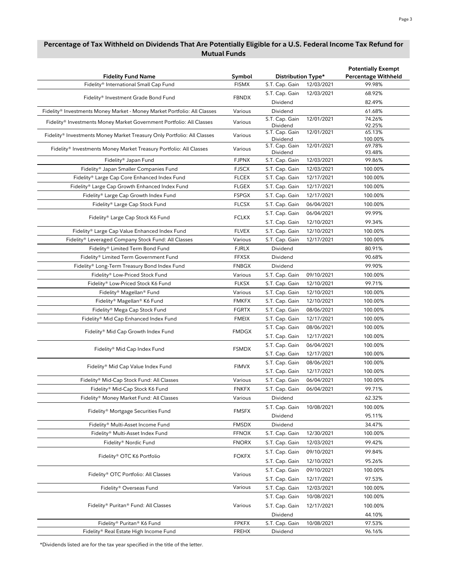| <b>Fidelity Fund Name</b>                                                | Symbol       | Distribution Type*         |            | <b>Potentially Exempt</b><br><b>Percentage Withheld</b> |  |
|--------------------------------------------------------------------------|--------------|----------------------------|------------|---------------------------------------------------------|--|
| Fidelity® International Small Cap Fund                                   | <b>FISMX</b> | S.T. Cap. Gain             | 12/03/2021 | 99.98%                                                  |  |
|                                                                          |              | S.T. Cap. Gain             | 12/03/2021 | 68.92%                                                  |  |
| Fidelity® Investment Grade Bond Fund                                     | <b>FBNDX</b> | Dividend                   |            | 82.49%                                                  |  |
| Fidelity® Investments Money Market - Money Market Portfolio: All Classes | Various      | Dividend                   |            | 61.68%                                                  |  |
| Fidelity® Investments Money Market Government Portfolio: All Classes     | Various      | S.T. Cap. Gain             | 12/01/2021 | 74.26%                                                  |  |
|                                                                          |              | Dividend                   |            | 92.25%                                                  |  |
| Fidelity® Investments Money Market Treasury Only Portfolio: All Classes  | Various      | S.T. Cap. Gain<br>Dividend | 12/01/2021 | 65.13%<br>100.00%                                       |  |
| Fidelity® Investments Money Market Treasury Portfolio: All Classes       | Various      | S.T. Cap. Gain<br>Dividend | 12/01/2021 | 69.78%<br>93.48%                                        |  |
| Fidelity® Japan Fund                                                     | <b>FJPNX</b> | S.T. Cap. Gain             | 12/03/2021 | 99.86%                                                  |  |
| Fidelity® Japan Smaller Companies Fund                                   | <b>FJSCX</b> | S.T. Cap. Gain             | 12/03/2021 | 100.00%                                                 |  |
| Fidelity® Large Cap Core Enhanced Index Fund                             | <b>FLCEX</b> | S.T. Cap. Gain             | 12/17/2021 | 100.00%                                                 |  |
| Fidelity® Large Cap Growth Enhanced Index Fund                           | <b>FLGEX</b> | S.T. Cap. Gain             | 12/17/2021 | 100.00%                                                 |  |
| Fidelity® Large Cap Growth Index Fund                                    | <b>FSPGX</b> | S.T. Cap. Gain             | 12/17/2021 | 100.00%                                                 |  |
| Fidelity® Large Cap Stock Fund                                           | <b>FLCSX</b> | S.T. Cap. Gain             | 06/04/2021 | 100.00%                                                 |  |
|                                                                          |              | S.T. Cap. Gain             | 06/04/2021 | 99.99%                                                  |  |
| Fidelity® Large Cap Stock K6 Fund                                        | <b>FCLKX</b> | S.T. Cap. Gain             | 12/10/2021 | 99.34%                                                  |  |
| Fidelity® Large Cap Value Enhanced Index Fund                            | <b>FLVEX</b> | S.T. Cap. Gain             | 12/10/2021 | 100.00%                                                 |  |
| Fidelity® Leveraged Company Stock Fund: All Classes                      | Various      | S.T. Cap. Gain             | 12/17/2021 | 100.00%                                                 |  |
| Fidelity® Limited Term Bond Fund                                         | <b>FJRLX</b> | Dividend                   |            | 80.91%                                                  |  |
| Fidelity® Limited Term Government Fund                                   | <b>FFXSX</b> | Dividend                   |            | 90.68%                                                  |  |
| Fidelity® Long-Term Treasury Bond Index Fund                             | <b>FNBGX</b> | Dividend                   |            | 99.90%                                                  |  |
| Fidelity® Low-Priced Stock Fund                                          | Various      | S.T. Cap. Gain             | 09/10/2021 | 100.00%                                                 |  |
| Fidelity® Low-Priced Stock K6 Fund                                       | <b>FLKSX</b> | S.T. Cap. Gain             | 12/10/2021 | 99.71%                                                  |  |
|                                                                          |              |                            |            |                                                         |  |
| Fidelity® Magellan® Fund                                                 | Various      | S.T. Cap. Gain             | 12/10/2021 | 100.00%                                                 |  |
| Fidelity® Magellan® K6 Fund                                              | <b>FMKFX</b> | S.T. Cap. Gain             | 12/10/2021 | 100.00%                                                 |  |
| Fidelity® Mega Cap Stock Fund                                            | <b>FGRTX</b> | S.T. Cap. Gain             | 08/06/2021 | 100.00%                                                 |  |
| Fidelity® Mid Cap Enhanced Index Fund                                    | <b>FMEIX</b> | S.T. Cap. Gain             | 12/17/2021 | 100.00%                                                 |  |
| Fidelity® Mid Cap Growth Index Fund                                      | <b>FMDGX</b> | S.T. Cap. Gain             | 08/06/2021 | 100.00%                                                 |  |
|                                                                          |              | S.T. Cap. Gain             | 12/17/2021 | 100.00%                                                 |  |
| Fidelity® Mid Cap Index Fund                                             | <b>FSMDX</b> | S.T. Cap. Gain             | 06/04/2021 | 100.00%                                                 |  |
|                                                                          |              | S.T. Cap. Gain             | 12/17/2021 | 100.00%                                                 |  |
| Fidelity® Mid Cap Value Index Fund                                       | <b>FIMVX</b> | S.T. Cap. Gain             | 08/06/2021 | 100.00%                                                 |  |
|                                                                          |              | S.T. Cap. Gain             | 12/17/2021 | 100.00%                                                 |  |
| Fidelity® Mid-Cap Stock Fund: All Classes                                | Various      | S.T. Cap. Gain             | 06/04/2021 | 100.00%                                                 |  |
| Fidelity® Mid-Cap Stock K6 Fund                                          | <b>FNKFX</b> | S.T. Cap. Gain             | 06/04/2021 | 99.71%                                                  |  |
| Fidelity® Money Market Fund: All Classes                                 | Various      | Dividend                   |            | 62.32%                                                  |  |
| Fidelity® Mortgage Securities Fund                                       | <b>FMSFX</b> | S.T. Cap. Gain             | 10/08/2021 | 100.00%                                                 |  |
|                                                                          |              | Dividend                   |            | 95.11%                                                  |  |
| Fidelity® Multi-Asset Income Fund                                        | <b>FMSDX</b> | Dividend                   |            | 34.47%                                                  |  |
| Fidelity® Multi-Asset Index Fund                                         | <b>FFNOX</b> | S.T. Cap. Gain             | 12/30/2021 | 100.00%                                                 |  |
| Fidelity® Nordic Fund                                                    | <b>FNORX</b> | S.T. Cap. Gain             | 12/03/2021 | 99.42%                                                  |  |
| Fidelity® OTC K6 Portfolio                                               |              | S.T. Cap. Gain             | 09/10/2021 | 99.84%                                                  |  |
|                                                                          | <b>FOKFX</b> | S.T. Cap. Gain             | 12/10/2021 | 95.26%                                                  |  |
|                                                                          |              | S.T. Cap. Gain             | 09/10/2021 | 100.00%                                                 |  |
| Fidelity® OTC Portfolio: All Classes                                     | Various      | S.T. Cap. Gain             | 12/17/2021 | 97.53%                                                  |  |
| Fidelity® Overseas Fund                                                  | Various      | S.T. Cap. Gain             | 12/03/2021 | 100.00%                                                 |  |
|                                                                          |              | S.T. Cap. Gain             | 10/08/2021 | 100.00%                                                 |  |
| Fidelity® Puritan® Fund: All Classes                                     | Various      | S.T. Cap. Gain             | 12/17/2021 | 100.00%                                                 |  |
|                                                                          |              | Dividend                   |            | 44.10%                                                  |  |
| Fidelity® Puritan® K6 Fund                                               | <b>FPKFX</b> | S.T. Cap. Gain             | 10/08/2021 | 97.53%                                                  |  |
| Fidelity® Real Estate High Income Fund                                   | <b>FREHX</b> | Dividend                   |            | 96.16%                                                  |  |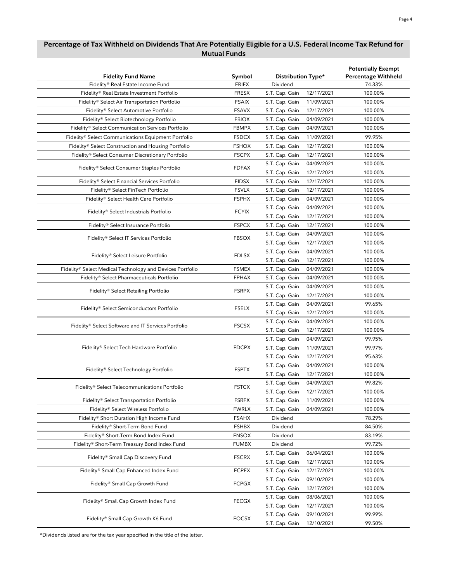| <b>Fidelity Fund Name</b>                                 | Symbol       | Distribution Type* |            | <b>Potentially Exempt</b><br><b>Percentage Withheld</b> |
|-----------------------------------------------------------|--------------|--------------------|------------|---------------------------------------------------------|
| Fidelity® Real Estate Income Fund                         | <b>FRIFX</b> | Dividend           |            | 74.33%                                                  |
| Fidelity® Real Estate Investment Portfolio                | <b>FRESX</b> | S.T. Cap. Gain     | 12/17/2021 | 100.00%                                                 |
| Fidelity® Select Air Transportation Portfolio             | <b>FSAIX</b> | S.T. Cap. Gain     | 11/09/2021 | 100.00%                                                 |
| Fidelity® Select Automotive Portfolio                     | <b>FSAVX</b> | S.T. Cap. Gain     | 12/17/2021 | 100.00%                                                 |
| Fidelity® Select Biotechnology Portfolio                  | <b>FBIOX</b> | S.T. Cap. Gain     | 04/09/2021 | 100.00%                                                 |
| Fidelity® Select Communication Services Portfolio         | <b>FBMPX</b> | S.T. Cap. Gain     | 04/09/2021 | 100.00%                                                 |
| Fidelity® Select Communications Equipment Portfolio       | <b>FSDCX</b> | S.T. Cap. Gain     | 11/09/2021 | 99.95%                                                  |
| Fidelity® Select Construction and Housing Portfolio       | <b>FSHOX</b> | S.T. Cap. Gain     | 12/17/2021 | 100.00%                                                 |
| Fidelity® Select Consumer Discretionary Portfolio         | <b>FSCPX</b> | S.T. Cap. Gain     | 12/17/2021 | 100.00%                                                 |
|                                                           |              | S.T. Cap. Gain     | 04/09/2021 | 100.00%                                                 |
| Fidelity® Select Consumer Staples Portfolio               | <b>FDFAX</b> | S.T. Cap. Gain     | 12/17/2021 | 100.00%                                                 |
| Fidelity® Select Financial Services Portfolio             | <b>FIDSX</b> | S.T. Cap. Gain     | 12/17/2021 | 100.00%                                                 |
| Fidelity® Select FinTech Portfolio                        | <b>FSVLX</b> | S.T. Cap. Gain     | 12/17/2021 | 100.00%                                                 |
| Fidelity® Select Health Care Portfolio                    | <b>FSPHX</b> | S.T. Cap. Gain     | 04/09/2021 | 100.00%                                                 |
|                                                           |              | S.T. Cap. Gain     | 04/09/2021 | 100.00%                                                 |
| Fidelity® Select Industrials Portfolio                    | <b>FCYIX</b> | S.T. Cap. Gain     | 12/17/2021 | 100.00%                                                 |
| Fidelity® Select Insurance Portfolio                      | <b>FSPCX</b> | S.T. Cap. Gain     | 12/17/2021 | 100.00%                                                 |
|                                                           |              | S.T. Cap. Gain     | 04/09/2021 | 100.00%                                                 |
| Fidelity® Select IT Services Portfolio                    | <b>FBSOX</b> | S.T. Cap. Gain     | 12/17/2021 | 100.00%                                                 |
|                                                           |              | S.T. Cap. Gain     | 04/09/2021 | 100.00%                                                 |
| Fidelity® Select Leisure Portfolio                        | <b>FDLSX</b> | S.T. Cap. Gain     | 12/17/2021 | 100.00%                                                 |
| Fidelity® Select Medical Technology and Devices Portfolio | <b>FSMEX</b> | S.T. Cap. Gain     | 04/09/2021 | 100.00%                                                 |
| Fidelity® Select Pharmaceuticals Portfolio                | <b>FPHAX</b> | S.T. Cap. Gain     | 04/09/2021 | 100.00%                                                 |
|                                                           |              | S.T. Cap. Gain     | 04/09/2021 | 100.00%                                                 |
| Fidelity® Select Retailing Portfolio                      | <b>FSRPX</b> | S.T. Cap. Gain     | 12/17/2021 | 100.00%                                                 |
|                                                           |              | S.T. Cap. Gain     | 04/09/2021 | 99.65%                                                  |
| Fidelity® Select Semiconductors Portfolio                 | <b>FSELX</b> | S.T. Cap. Gain     | 12/17/2021 | 100.00%                                                 |
|                                                           |              | S.T. Cap. Gain     | 04/09/2021 | 100.00%                                                 |
| Fidelity® Select Software and IT Services Portfolio       | <b>FSCSX</b> | S.T. Cap. Gain     | 12/17/2021 | 100.00%                                                 |
|                                                           |              | S.T. Cap. Gain     | 04/09/2021 | 99.95%                                                  |
| Fidelity® Select Tech Hardware Portfolio                  | <b>FDCPX</b> | S.T. Cap. Gain     | 11/09/2021 | 99.97%                                                  |
|                                                           |              | S.T. Cap. Gain     | 12/17/2021 | 95.63%                                                  |
|                                                           |              | S.T. Cap. Gain     | 04/09/2021 | 100.00%                                                 |
| Fidelity® Select Technology Portfolio                     | <b>FSPTX</b> | S.T. Cap. Gain     | 12/17/2021 | 100.00%                                                 |
|                                                           |              | S.T. Cap. Gain     | 04/09/2021 | 99.82%                                                  |
| Fidelity® Select Telecommunications Portfolio             | <b>FSTCX</b> | S.T. Cap. Gain     | 12/17/2021 | 100.00%                                                 |
| Fidelity® Select Transportation Portfolio                 | <b>FSRFX</b> | S.T. Cap. Gain     | 11/09/2021 | 100.00%                                                 |
| Fidelity® Select Wireless Portfolio                       | <b>FWRLX</b> | S.T. Cap. Gain     | 04/09/2021 | 100.00%                                                 |
| Fidelity® Short Duration High Income Fund                 | FSAHX        | Dividend           |            | 78.29%                                                  |
| Fidelity® Short-Term Bond Fund                            | FSHBX        | Dividend           |            | 84.50%                                                  |
| Fidelity® Short-Term Bond Index Fund                      | <b>FNSOX</b> | Dividend           |            | 83.19%                                                  |
| Fidelity® Short-Term Treasury Bond Index Fund             | <b>FUMBX</b> | Dividend           |            | 99.72%                                                  |
|                                                           |              | S.T. Cap. Gain     | 06/04/2021 | 100.00%                                                 |
| Fidelity® Small Cap Discovery Fund                        | <b>FSCRX</b> | S.T. Cap. Gain     | 12/17/2021 | 100.00%                                                 |
| Fidelity® Small Cap Enhanced Index Fund                   | <b>FCPEX</b> | S.T. Cap. Gain     | 12/17/2021 | 100.00%                                                 |
|                                                           |              | S.T. Cap. Gain     | 09/10/2021 | 100.00%                                                 |
| Fidelity® Small Cap Growth Fund                           | <b>FCPGX</b> | S.T. Cap. Gain     | 12/17/2021 | 100.00%                                                 |
|                                                           |              | S.T. Cap. Gain     | 08/06/2021 | 100.00%                                                 |
| Fidelity® Small Cap Growth Index Fund                     | <b>FECGX</b> | S.T. Cap. Gain     | 12/17/2021 | 100.00%                                                 |
|                                                           |              | S.T. Cap. Gain     | 09/10/2021 | 99.99%                                                  |
| Fidelity® Small Cap Growth K6 Fund                        | <b>FOCSX</b> | S.T. Cap. Gain     | 12/10/2021 | 99.50%                                                  |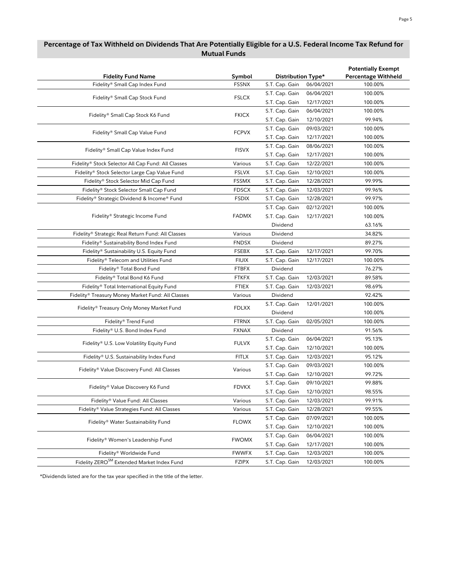| <b>Fidelity Fund Name</b>                              | Symbol       | Distribution Type* |            | <b>Potentially Exempt</b><br><b>Percentage Withheld</b> |
|--------------------------------------------------------|--------------|--------------------|------------|---------------------------------------------------------|
| Fidelity® Small Cap Index Fund                         | <b>FSSNX</b> | S.T. Cap. Gain     | 06/04/2021 | 100.00%                                                 |
|                                                        |              | S.T. Cap. Gain     | 06/04/2021 | 100.00%                                                 |
| Fidelity® Small Cap Stock Fund                         | <b>FSLCX</b> | S.T. Cap. Gain     | 12/17/2021 | 100.00%                                                 |
|                                                        | <b>FKICX</b> | S.T. Cap. Gain     | 06/04/2021 | 100.00%                                                 |
| Fidelity® Small Cap Stock K6 Fund                      |              | S.T. Cap. Gain     | 12/10/2021 | 99.94%                                                  |
|                                                        |              | S.T. Cap. Gain     | 09/03/2021 | 100.00%                                                 |
| Fidelity® Small Cap Value Fund                         | <b>FCPVX</b> | S.T. Cap. Gain     | 12/17/2021 | 100.00%                                                 |
|                                                        | <b>FISVX</b> | S.T. Cap. Gain     | 08/06/2021 | 100.00%                                                 |
| Fidelity® Small Cap Value Index Fund                   |              | S.T. Cap. Gain     | 12/17/2021 | 100.00%                                                 |
| Fidelity® Stock Selector All Cap Fund: All Classes     | Various      | S.T. Cap. Gain     | 12/22/2021 | 100.00%                                                 |
| Fidelity® Stock Selector Large Cap Value Fund          | <b>FSLVX</b> | S.T. Cap. Gain     | 12/10/2021 | 100.00%                                                 |
| Fidelity® Stock Selector Mid Cap Fund                  | <b>FSSMX</b> | S.T. Cap. Gain     | 12/28/2021 | 99.99%                                                  |
| Fidelity® Stock Selector Small Cap Fund                | <b>FDSCX</b> | S.T. Cap. Gain     | 12/03/2021 | 99.96%                                                  |
| Fidelity® Strategic Dividend & Income® Fund            | <b>FSDIX</b> | S.T. Cap. Gain     | 12/28/2021 | 99.97%                                                  |
|                                                        |              | S.T. Cap. Gain     | 02/12/2021 | 100.00%                                                 |
| Fidelity® Strategic Income Fund                        | <b>FADMX</b> | S.T. Cap. Gain     | 12/17/2021 | 100.00%                                                 |
|                                                        |              | Dividend           |            | 63.16%                                                  |
| Fidelity® Strategic Real Return Fund: All Classes      | Various      | Dividend           |            | 34.82%                                                  |
| Fidelity® Sustainability Bond Index Fund               | <b>FNDSX</b> | Dividend           |            | 89.27%                                                  |
| Fidelity® Sustainability U.S. Equity Fund              | <b>FSEBX</b> | S.T. Cap. Gain     | 12/17/2021 | 99.70%                                                  |
| Fidelity® Telecom and Utilities Fund                   | <b>FIUIX</b> | S.T. Cap. Gain     | 12/17/2021 | 100.00%                                                 |
| Fidelity® Total Bond Fund                              | <b>FTBFX</b> | Dividend           |            | 76.27%                                                  |
| Fidelity® Total Bond K6 Fund                           | <b>FTKFX</b> | S.T. Cap. Gain     | 12/03/2021 | 89.58%                                                  |
| Fidelity® Total International Equity Fund              | <b>FTIEX</b> | S.T. Cap. Gain     | 12/03/2021 | 98.69%                                                  |
| Fidelity® Treasury Money Market Fund: All Classes      | Various      | Dividend           |            | 92.42%                                                  |
|                                                        |              | S.T. Cap. Gain     | 12/01/2021 | 100.00%                                                 |
| Fidelity® Treasury Only Money Market Fund              | <b>FDLXX</b> | Dividend           |            | 100.00%                                                 |
| Fidelity® Trend Fund                                   | <b>FTRNX</b> | S.T. Cap. Gain     | 02/05/2021 | 100.00%                                                 |
| Fidelity® U.S. Bond Index Fund                         | <b>FXNAX</b> | Dividend           |            | 91.56%                                                  |
|                                                        |              | S.T. Cap. Gain     | 06/04/2021 | 95.13%                                                  |
| Fidelity® U.S. Low Volatility Equity Fund              | <b>FULVX</b> | S.T. Cap. Gain     | 12/10/2021 | 100.00%                                                 |
| Fidelity® U.S. Sustainability Index Fund               | <b>FITLX</b> | S.T. Cap. Gain     | 12/03/2021 | 95.12%                                                  |
|                                                        | Various      | S.T. Cap. Gain     | 09/03/2021 | 100.00%                                                 |
| Fidelity® Value Discovery Fund: All Classes            |              | S.T. Cap. Gain     | 12/10/2021 | 99.72%                                                  |
|                                                        | <b>FDVKX</b> | S.T. Cap. Gain     | 09/10/2021 | 99.88%                                                  |
| Fidelity® Value Discovery K6 Fund                      |              | S.T. Cap. Gain     | 12/10/2021 | 98.55%                                                  |
| Fidelity® Value Fund: All Classes                      | Various      | S.T. Cap. Gain     | 12/03/2021 | 99.91%                                                  |
| Fidelity® Value Strategies Fund: All Classes           | Various      | S.T. Cap. Gain     | 12/28/2021 | 99.55%                                                  |
|                                                        |              | S.T. Cap. Gain     | 07/09/2021 | 100.00%                                                 |
| Fidelity® Water Sustainability Fund                    | <b>FLOWX</b> | S.T. Cap. Gain     | 12/10/2021 | 100.00%                                                 |
|                                                        | <b>FWOMX</b> | S.T. Cap. Gain     | 06/04/2021 | 100.00%                                                 |
| Fidelity® Women's Leadership Fund                      |              | S.T. Cap. Gain     | 12/17/2021 | 100.00%                                                 |
| Fidelity® Worldwide Fund                               | <b>FWWFX</b> | S.T. Cap. Gain     | 12/03/2021 | 100.00%                                                 |
| Fidelity ZERO <sup>SM</sup> Extended Market Index Fund | FZIPX        | S.T. Cap. Gain     | 12/03/2021 | 100.00%                                                 |